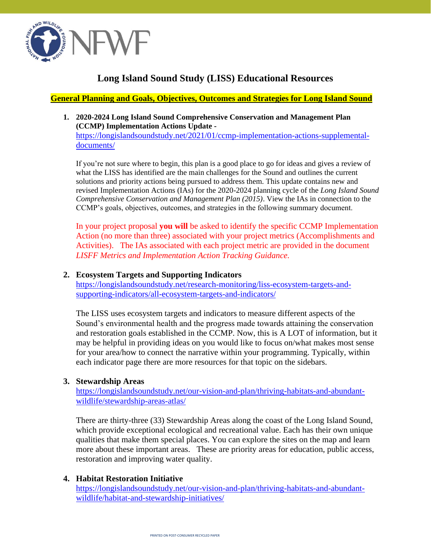

# **Long Island Sound Study (LISS) Educational Resources**

## **General Planning and Goals, Objectives, Outcomes and Strategies for Long Island Sound**

**1. 2020-2024 Long Island Sound Comprehensive Conservation and Management Plan (CCMP) Implementation Actions Update**  [https://longislandsoundstudy.net/2021/01/ccmp-implementation-actions-supplemental](https://longislandsoundstudy.net/2021/01/ccmp-implementation-actions-supplemental-documents/)[documents/](https://longislandsoundstudy.net/2021/01/ccmp-implementation-actions-supplemental-documents/)

If you're not sure where to begin, this plan is a good place to go for ideas and gives a review of what the LISS has identified are the main challenges for the Sound and outlines the current solutions and priority actions being pursued to address them. This update contains new and revised Implementation Actions (IAs) for the 2020-2024 planning cycle of the *Long Island Sound Comprehensive Conservation and Management Plan (2015)*. View the IAs in connection to the CCMP's goals, objectives, outcomes, and strategies in the following summary document.

In your project proposal **you will** be asked to identify the specific CCMP Implementation Action (no more than three) associated with your project metrics (Accomplishments and Activities). The IAs associated with each project metric are provided in the document *LISFF Metrics and Implementation Action Tracking Guidance.*

## **2. Ecosystem Targets and Supporting Indicators**

[https://longislandsoundstudy.net/research-monitoring/liss-ecosystem-targets-and](https://longislandsoundstudy.net/research-monitoring/liss-ecosystem-targets-and-supporting-indicators/all-ecosystem-targets-and-indicators/)[supporting-indicators/all-ecosystem-targets-and-indicators/](https://longislandsoundstudy.net/research-monitoring/liss-ecosystem-targets-and-supporting-indicators/all-ecosystem-targets-and-indicators/)

The LISS uses ecosystem targets and indicators to measure different aspects of the Sound's environmental health and the progress made towards attaining the conservation and restoration goals established in the CCMP. Now, this is A LOT of information, but it may be helpful in providing ideas on you would like to focus on/what makes most sense for your area/how to connect the narrative within your programming. Typically, within each indicator page there are more resources for that topic on the sidebars.

### **3. Stewardship Areas**

[https://longislandsoundstudy.net/our-vision-and-plan/thriving-habitats-and-abundant](https://longislandsoundstudy.net/our-vision-and-plan/thriving-habitats-and-abundant-wildlife/stewardship-areas-atlas/)[wildlife/stewardship-areas-atlas/](https://longislandsoundstudy.net/our-vision-and-plan/thriving-habitats-and-abundant-wildlife/stewardship-areas-atlas/)

There are thirty-three (33) Stewardship Areas along the coast of the Long Island Sound, which provide exceptional ecological and recreational value. Each has their own unique qualities that make them special places. You can explore the sites on the map and learn more about these important areas. These are priority areas for education, public access, restoration and improving water quality.

### **4. Habitat Restoration Initiative**

[https://longislandsoundstudy.net/our-vision-and-plan/thriving-habitats-and-abundant](https://longislandsoundstudy.net/our-vision-and-plan/thriving-habitats-and-abundant-wildlife/habitat-and-stewardship-initiatives/)[wildlife/habitat-and-stewardship-initiatives/](https://longislandsoundstudy.net/our-vision-and-plan/thriving-habitats-and-abundant-wildlife/habitat-and-stewardship-initiatives/)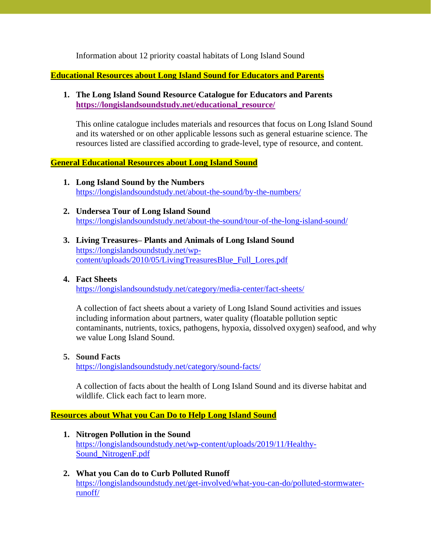Information about 12 priority coastal habitats of Long Island Sound

**Educational Resources about Long Island Sound for Educators and Parents**

## **1. The Long Island Sound Resource Catalogue for Educators and Parents [https://longislandsoundstudy.net/educational\\_resource/](https://longislandsoundstudy.net/educational_resource/)**

This online catalogue includes materials and resources that focus on Long Island Sound and its watershed or on other applicable lessons such as general estuarine science. The resources listed are classified according to grade-level, type of resource, and content.

## **General Educational Resources about Long Island Sound**

- **1. Long Island Sound by the Numbers**  <https://longislandsoundstudy.net/about-the-sound/by-the-numbers/>
- **2. Undersea Tour of Long Island Sound** <https://longislandsoundstudy.net/about-the-sound/tour-of-the-long-island-sound/>
- **3. Living Treasures– Plants and Animals of Long Island Sound** [https://longislandsoundstudy.net/wp](https://longislandsoundstudy.net/wp-content/uploads/2010/05/LivingTreasuresBlue_Full_Lores.pdf)[content/uploads/2010/05/LivingTreasuresBlue\\_Full\\_Lores.pdf](https://longislandsoundstudy.net/wp-content/uploads/2010/05/LivingTreasuresBlue_Full_Lores.pdf)

### **4. Fact Sheets**

<https://longislandsoundstudy.net/category/media-center/fact-sheets/>

A collection of fact sheets about a variety of Long Island Sound activities and issues including information about partners, water quality (floatable pollution septic contaminants, nutrients, toxics, pathogens, hypoxia, dissolved oxygen) seafood, and why we value Long Island Sound.

### **5. Sound Facts**

<https://longislandsoundstudy.net/category/sound-facts/>

A collection of facts about the health of Long Island Sound and its diverse habitat and wildlife. Click each fact to learn more.

### **Resources about What you Can Do to Help Long Island Sound**

- **1. Nitrogen Pollution in the Sound**  [https://longislandsoundstudy.net/wp-content/uploads/2019/11/Healthy-](https://longislandsoundstudy.net/wp-content/uploads/2019/11/Healthy-Sound_NitrogenF.pdf)[Sound\\_NitrogenF.pdf](https://longislandsoundstudy.net/wp-content/uploads/2019/11/Healthy-Sound_NitrogenF.pdf)
- **2. What you Can do to Curb Polluted Runoff**  [https://longislandsoundstudy.net/get-involved/what-you-can-do/polluted-stormwater](https://longislandsoundstudy.net/get-involved/what-you-can-do/polluted-stormwater-runoff/)[runoff/](https://longislandsoundstudy.net/get-involved/what-you-can-do/polluted-stormwater-runoff/)